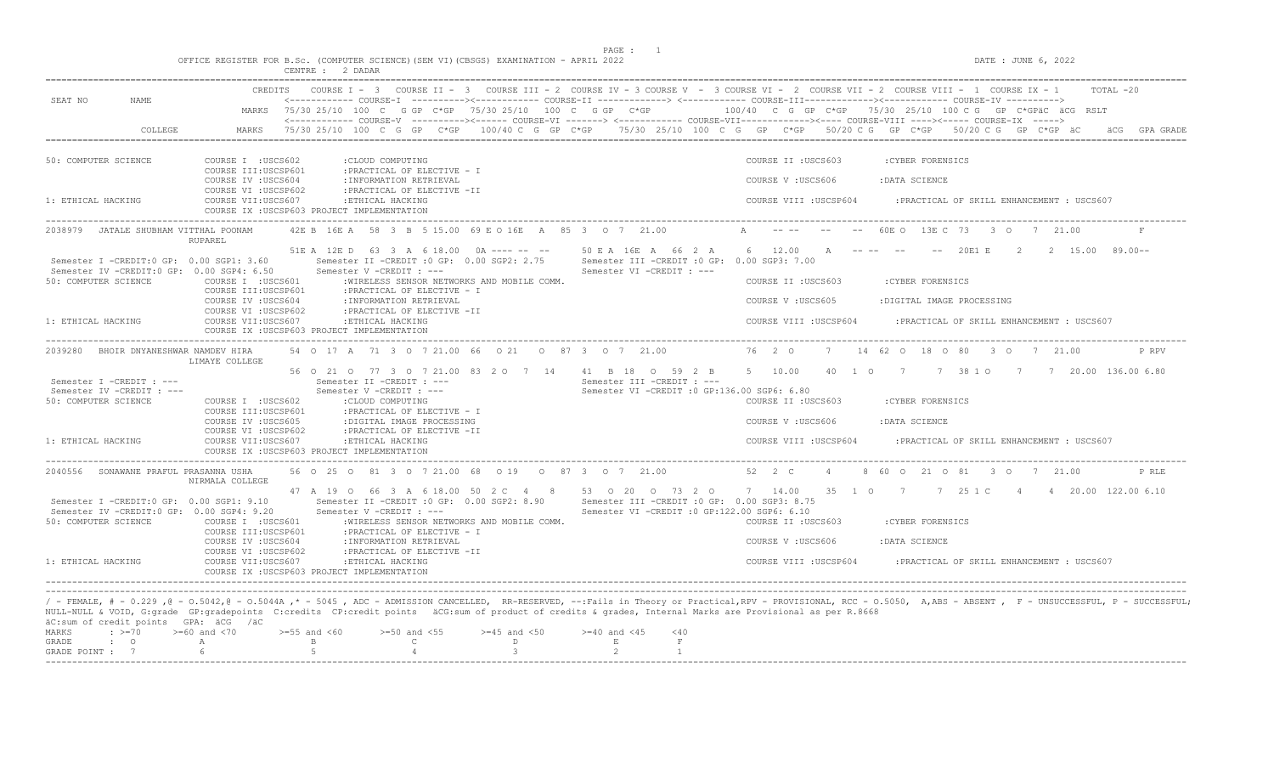$DATE$ : JUNE 6, 2022

|  |  |          |  |         |  | OFFICE REGISTER FOR B.Sc. (COMPUTER SCIENCE)(SEM VI)(CBSGS) EXAMINATION - APRIL 2022 |  |  |
|--|--|----------|--|---------|--|--------------------------------------------------------------------------------------|--|--|
|  |  | CENTRE : |  | 2 DADAR |  |                                                                                      |  |  |

|                                                                                        | CREDITS                                                                                                                                                  | COURSE I - 3 COURSE II - 3 COURSE III - 2 COURSE IV - 3 COURSE V - 3 COURSE VI - 2 COURSE VIII - 2 COURSE VIII - 1 COURSE IX - 1<br>$TOTAI. -20$                                                                                                                        |
|----------------------------------------------------------------------------------------|----------------------------------------------------------------------------------------------------------------------------------------------------------|-------------------------------------------------------------------------------------------------------------------------------------------------------------------------------------------------------------------------------------------------------------------------|
| SEAT NO<br>NAME.                                                                       |                                                                                                                                                          | <------------ COURSE-T ----------><----------- COURSE-TT -------------> <------------ COURSE-TTT----------><---------> COURSE-TV ----------><br>MARKS 75/30 25/10 100 C G GP C*GP 75/30 25/10 100 C G GP C*GP 100/40 C G GP C*GP 75/30 25/10 100 C G GP C*GPäC äCG RSLT |
|                                                                                        |                                                                                                                                                          | <------------ COURSE-V ----------><------ COURSE-VI -------> <------------ COURSE-VII-----------><---- COURSE-VIII ----><----- COURSE-IX ----->                                                                                                                         |
| COLLEGE                                                                                | MARKS                                                                                                                                                    | 75/30 25/10 100 C G GP C*GP 100/40 C G GP C*GP 75/30 25/10 100 C G GP C*GP 50/20 C G GP C*GP 50/20 C G GP C*GP äC<br>GPA GRADE                                                                                                                                          |
|                                                                                        |                                                                                                                                                          |                                                                                                                                                                                                                                                                         |
| 50: COMPUTER SCIENCE                                                                   | COURSE I : USCS602<br>: CLOUD COMPUTING<br>COURSE III: USCSP601<br>: PRACTICAL OF ELECTIVE - I                                                           | COURSE II : USCS603<br>: CYBER FORENSICS                                                                                                                                                                                                                                |
|                                                                                        | COURSE IV : USCS604<br>: INFORMATION RETRIEVAL<br>COURSE VI : USCSP602<br>: PRACTICAL OF ELECTIVE -II                                                    | COURSE V: USCS606<br>:DATA SCIENCE                                                                                                                                                                                                                                      |
| 1: ETHICAL HACKING                                                                     | COURSE VII:USCS607<br>:ETHICAL HACKING<br>COURSE IX : USCSP603 PROJECT IMPLEMENTATION                                                                    | COURSE VIII : USCSP604<br>: PRACTICAL OF SKILL ENHANCEMENT : USCS607                                                                                                                                                                                                    |
| 2038979 JATALE SHUBHAM VITTHAL POONAM                                                  | 42E B 16E A 58 3 B 5 15.00 69 E O 16E A 85 3 O 7 21.00<br>RUPAREL                                                                                        | A<br>60E O 13E C 73 3 O 7 21.00                                                                                                                                                                                                                                         |
| Semester I -CREDIT: 0 GP: 0.00 SGP1: 3.60<br>Semester IV -CREDIT:0 GP: 0.00 SGP4: 6.50 | 51E A 12E D 63 3 A 6 18.00 0A ---- -- -- 50 E A 16E A 66 2 A<br>Semester V -CREDIT : ---                                                                 | 6 12.00 A ---- -- -- 20E1 E 2 2 15.00 89.00--<br>Semester II -CREDIT : 0 GP: 0.00 SGP2: 2.75 Semester III -CREDIT : 0 GP: 0.00 SGP3: 7.00<br>Semester VI -CREDIT : ---                                                                                                  |
| 50: COMPUTER SCIENCE                                                                   | COURSE I : USCS601<br>: WIRELESS SENSOR NETWORKS AND MOBILE COMM.<br>: PRACTICAL OF ELECTIVE - I<br>COURSE III:USCSP601                                  | COURSE II : USCS603<br>: CYBER FORENSICS                                                                                                                                                                                                                                |
|                                                                                        | COURSE IV : USCS604<br>: INFORMATION RETRIEVAL<br>COURSE VI : USCSP602<br>: PRACTICAL OF ELECTIVE -II                                                    | COURSE V: USCS605<br>:DIGITAL IMAGE PROCESSING                                                                                                                                                                                                                          |
| 1: ETHICAL HACKING                                                                     | COURSE VII:USCS607<br>: ETHICAL HACKING<br>COURSE IX : USCSP603 PROJECT IMPLEMENTATION                                                                   | COURSE VIII : USCSP604<br>: PRACTICAL OF SKILL ENHANCEMENT : USCS607                                                                                                                                                                                                    |
| 2039280<br>BHOIR DNYANESHWAR NAMDEV HIRA                                               | 54 0 17 A 71 3 0 7 21.00 66 0 21 0 87 3 0 7 21.00<br>LIMAYE COLLEGE                                                                                      | 76 2 0<br>7 14 62 0 18 0 80 3 0 7 21.00<br>P RPV                                                                                                                                                                                                                        |
| Semester I -CREDIT : ---                                                               | 56 0 21 0 77 3 0 7 21.00 83 2 0 7 14 41 B 18 0 59 2 B<br>Semester II -CREDIT : ---                                                                       | 40 1 0 7 7 38 1 0 7 7 7 20.00 136.00 6.80<br>5 10.00<br>Semester III -CREDIT : ---                                                                                                                                                                                      |
| Semester IV -CREDIT : ---<br>50: COMPUTER SCIENCE                                      | Semester V -CREDIT : ---<br>COURSE I :USCS602<br>:CLOUD COMPUTING                                                                                        | Semester VI - CREDIT : 0 GP: 136.00 SGP6: 6.80<br>COURSE II : USCS603<br>: CYBER FORENSICS                                                                                                                                                                              |
|                                                                                        | COURSE III:USCSP601<br>: PRACTICAL OF ELECTIVE - I<br>COURSE IV : USCS605<br>:DIGITAL IMAGE PROCESSING                                                   | COURSE V: USCS606<br>: DATA SCIENCE                                                                                                                                                                                                                                     |
| 1: ETHICAL HACKING                                                                     | COURSE VI : USCSP602<br>: PRACTICAL OF ELECTIVE -II<br>COURSE VII:USCS607<br>:ETHICAL HACKING<br>COURSE IX : USCSP603 PROJECT IMPLEMENTATION             | COURSE VIII :USCSP604<br>: PRACTICAL OF SKILL ENHANCEMENT : USCS607                                                                                                                                                                                                     |
| 2040556 SONAWANE PRAFUL PRASANNA USHA                                                  | 56 0 25 0 81 3 0 7 21 00 68 0 19 0 87 3 0 7 21 00<br>NIRMALA COLLEGE                                                                                     | 52 2 C<br>$\overline{4}$<br>8 60 0 21 0 81 3 0 7 21.00<br>P RLE                                                                                                                                                                                                         |
| Semester I -CREDIT:0 GP: 0.00 SGP1: 9.10<br>Semester IV -CREDIT:0 GP: 0.00 SGP4: 9.20  | Semester II -CREDIT : 0 GP: 0.00 SGP2: 8.90<br>Semester V -CREDIT : ---                                                                                  | 47 A 19 O 66 3 A 6 18.00 50 2 C 4 8 53 O 20 O 73 2 O 7 14.00 35 1 O 7 7 25 1 C 4 4 20.00 122.00 6.10<br>Semester III -CREDIT : 0 GP: 0.00 SGP3: 8.75<br>Semester VI -CREDIT : 0 GP:122.00 SGP6: 6.10                                                                    |
| 50: COMPUTER SCIENCE                                                                   | COURSE I :USCS601<br>:WIRELESS SENSOR NETWORKS AND MOBILE COMM.<br>COURSE III:USCSP601<br>: PRACTICAL OF ELECTIVE - I                                    | COURSE II : USCS603<br>: CYBER FORENSICS                                                                                                                                                                                                                                |
|                                                                                        | COURSE IV : USCS604<br>: INFORMATION RETRIEVAL<br>COURSE VI :USCSP602<br>: PRACTICAL OF ELECTIVE -II                                                     | COURSE V: USCS606<br>: DATA SCIENCE                                                                                                                                                                                                                                     |
| 1: ETHICAL HACKING                                                                     | COURSE VII:USCS607<br>: ETHICAL HACKING<br>COURSE IX : USCSP603 PROJECT IMPLEMENTATION                                                                   | COURSE VIII : USCSP604<br>: PRACTICAL OF SKILL ENHANCEMENT : USCS607                                                                                                                                                                                                    |
|                                                                                        |                                                                                                                                                          |                                                                                                                                                                                                                                                                         |
| äC:sum of credit points GPA: äCG /äC                                                   | NULL-NULL & VOID, G:grade GP:gradepoints C:credits CP:credit points äCG:sum of product of credits & grades, Internal Marks are Provisional as per R.8668 | / - FEMALE, # - 0.229 ,0 - 0.5042,0 - 0.5044A ,* - 5045 , ADC - ADMISSION CANCELLED, RR-RESERVED, --: Fails in Theory or Practical, RPV - PROVISIONAL, RCC - 0.5050, A,ABS - ABSENT , F - UNSUCCESSFUL, P - SUCCESSFUL;                                                 |
| $\div$ >=70<br>MARKS<br>GRADE<br>$\cdot$ 0                                             | $>=60$ and $<70$<br>$>=55$ and $<60$<br>$>=50$ and $<55$<br>$>=45$ and $<50$<br>$\mathbb{C}$<br>D<br>A<br>$\mathbf{B}$                                   | $>=40$ and $<45$<br>< 40<br>E<br>$\;$ F                                                                                                                                                                                                                                 |
| GRADE POINT : 7                                                                        | 5 <sub>1</sub><br>$\overline{4}$<br>$\mathcal{B}$<br>6                                                                                                   | $\overline{2}$<br>$\overline{1}$                                                                                                                                                                                                                                        |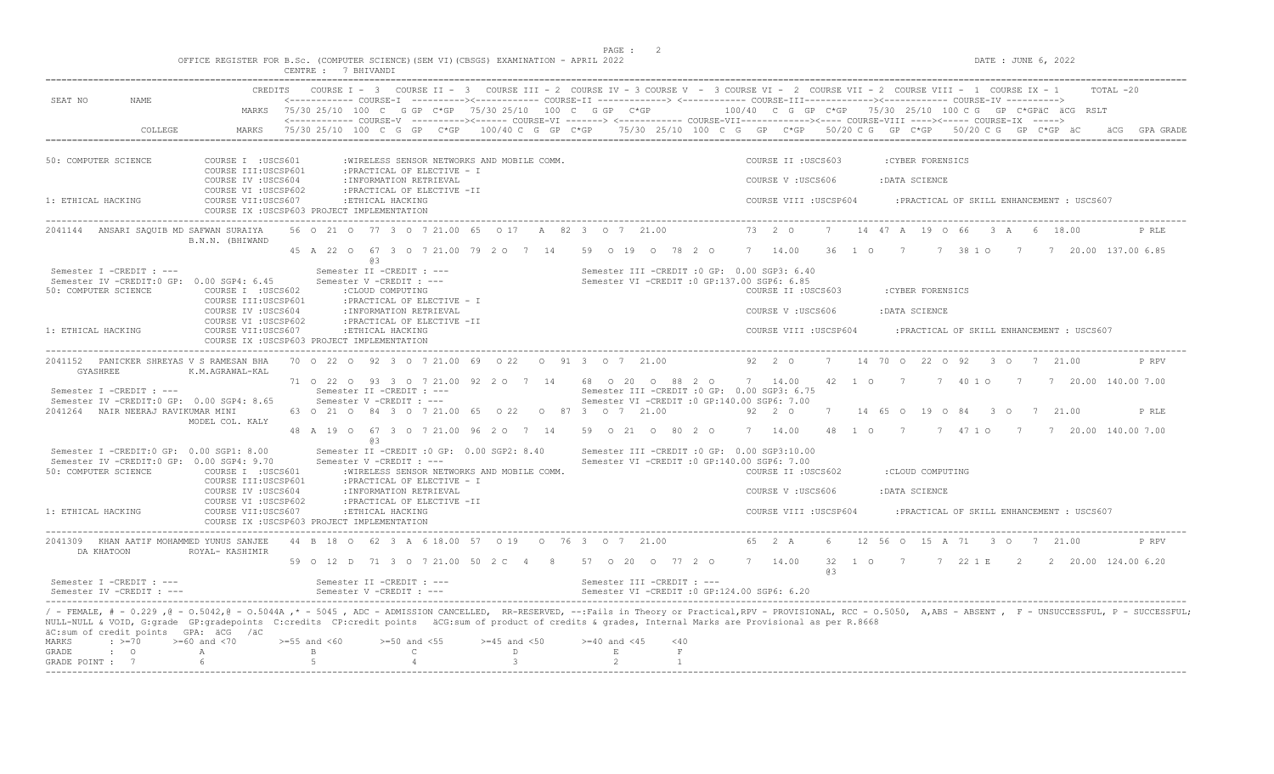|                                                                                                                                     |                                                                                                                 | OFFICE REGISTER FOR B.Sc. (COMPUTER SCIENCE) (SEM VI) (CBSGS) EXAMINATION - APRIL 2022<br>CENTRE : 7 BHIVANDI                                                                                                                                                                     |                                         | PAGE : 2                                                                                                                                                                                                                                   | DATE : JUNE 6, 2022                                                                                                                                                                                                                                                                                                                                                                                                                                                                                                                                                                      |
|-------------------------------------------------------------------------------------------------------------------------------------|-----------------------------------------------------------------------------------------------------------------|-----------------------------------------------------------------------------------------------------------------------------------------------------------------------------------------------------------------------------------------------------------------------------------|-----------------------------------------|--------------------------------------------------------------------------------------------------------------------------------------------------------------------------------------------------------------------------------------------|------------------------------------------------------------------------------------------------------------------------------------------------------------------------------------------------------------------------------------------------------------------------------------------------------------------------------------------------------------------------------------------------------------------------------------------------------------------------------------------------------------------------------------------------------------------------------------------|
| SEAT NO<br>NAME                                                                                                                     |                                                                                                                 |                                                                                                                                                                                                                                                                                   |                                         |                                                                                                                                                                                                                                            | CREDITS COURSE I - 3 COURSE II - 3 COURSE III - 2 COURSE IV - 3 COURSE V - 3 COURSE VI - 2 COURSE VIII - 2 COURSE VIII - 1 COURSE IX - 1<br>TOTAL -20<br><------------ COURSE-I ----------><----------- COURSE-II -------------> <------------ COURSE-III------------><------------ COURSE-IV ----------><br>MARKS 75/30 25/10 100 C G GP C*GP 75/30 25/10 100 C G GP C*GP 100/40 C G GP C*GP 75/30 25/10 100 C G GP C*GPäC äCG RSLT<br><------------ COURSE-V ----------><----- COURSE-VI -------> <------------ COURSE-VII-------------><---- COURSE-VIII ----><----- COURSE-IX -----> |
| COLLEGE                                                                                                                             | MARKS                                                                                                           |                                                                                                                                                                                                                                                                                   |                                         |                                                                                                                                                                                                                                            | 75/30 25/10 100 C G GP C*GP 100/40 C G GP C*GP 75/30 25/10 100 C G GP C*GP 50/20 C G GP C*GP 50/20 C G GP C*GP äC                                                                                                                                                                                                                                                                                                                                                                                                                                                                        |
| 50: COMPUTER SCIENCE<br>1: ETHICAL HACKING                                                                                          | COURSE I : USCS601<br>COURSE III: USCSP601<br>COURSE IV : USCS604<br>COURSE VI : USCSP602<br>COURSE VII:USCS607 | :WIRELESS SENSOR NETWORKS AND MOBILE COMM.<br>: PRACTICAL OF ELECTIVE - I<br>: INFORMATION RETRIEVAL<br>: PRACTICAL OF ELECTIVE -II<br>:ETHICAL HACKING<br>COURSE IX : USCSP603 PROJECT IMPLEMENTATION                                                                            |                                         |                                                                                                                                                                                                                                            | COURSE II : USCS603<br>: CYBER FORENSICS<br>COURSE V: USCS606<br>:DATA SCIENCE<br>COURSE VIII : USCSP604<br>: PRACTICAL OF SKILL ENHANCEMENT : USCS607                                                                                                                                                                                                                                                                                                                                                                                                                                   |
| 2041144 ANSARI SAQUIB MD SAFWAN SURAIYA                                                                                             | B.N.N. (BHIWAND                                                                                                 | 56 0 21 0 77 3 0 7 21.00 65 0 17 A 82 3 0 7 21.00                                                                                                                                                                                                                                 |                                         |                                                                                                                                                                                                                                            | 73 2 0<br>7 14 47 A 19 O 66 3 A 6 18.00<br>P RLE                                                                                                                                                                                                                                                                                                                                                                                                                                                                                                                                         |
|                                                                                                                                     |                                                                                                                 |                                                                                                                                                                                                                                                                                   |                                         |                                                                                                                                                                                                                                            | 45 A 22 0 67 3 0 7 21.00 79 2 0 7 14 59 0 19 0 78 2 0 7 14.00 36 1 0 7 7 38 1 0 7 7 20.00 137.00 6.85                                                                                                                                                                                                                                                                                                                                                                                                                                                                                    |
| Semester I -CREDIT : ---<br>Semester IV -CREDIT: 0 GP: 0.00 SGP4: 6.45<br>50: COMPUTER SCIENCE<br>1: ETHICAL HACKING                | COURSE I : USCS602<br>COURSE III:USCSP601<br>COURSE IV : USCS604<br>COURSE VI : USCSP602<br>COURSE VII:USCS607  | @ 3<br>Semester II -CREDIT : ---<br>Semester V -CREDIT : ---<br>: CLOUD COMPUTING<br>: PRACTICAL OF ELECTIVE - I<br>: INFORMATION RETRIEVAL<br>: PRACTICAL OF ELECTIVE -II<br>:ETHICAL HACKING<br>COURSE IX : USCSP603 PROJECT IMPLEMENTATION                                     |                                         | Semester III - CREDIT : 0 GP: 0.00 SGP3: 6.40<br>Semester VI - CREDIT : 0 GP: 137.00 SGP6: 6.85                                                                                                                                            | : CYBER FORENSICS<br>COURSE II : USCS603<br>COURSE V : USCS606<br>: DATA SCIENCE<br>COURSE VIII : USCSP604<br>: PRACTICAL OF SKILL ENHANCEMENT : USCS607                                                                                                                                                                                                                                                                                                                                                                                                                                 |
| 2041152 PANICKER SHREYAS V S RAMESAN BHA                                                                                            |                                                                                                                 | 70 0 22 0 92 3 0 7 21 00 69 0 22 0 91 3 0 7 21 00                                                                                                                                                                                                                                 |                                         |                                                                                                                                                                                                                                            | 92  2  0  7  14  70  0  22  0  92  3  0  7  21.00<br>P RPV                                                                                                                                                                                                                                                                                                                                                                                                                                                                                                                               |
| GYASHREE<br>Semester I -CREDIT : ---<br>Semester IV -CREDIT:0 GP: 0.00 SGP4: 8.65<br>2041264 NAIR NEERAJ RAVIKUMAR MINI             | K.M.AGRAWAL-KAL<br>MODEL COL. KALY                                                                              | Semester II -CREDIT : ---<br>Semester V -CREDIT : ---<br>63 0 21 0 84 3 0 7 21 00 65 0 22 0 87 3 0 7 21 00<br>@ 3                                                                                                                                                                 |                                         | Semester III -CREDIT : 0 GP: 0.00 SGP3: 6.75<br>Semester VI -CREDIT : 0 GP:140.00 SGP6: 7.00                                                                                                                                               | 71 0 22 0 93 3 0 7 21.00 92 2 0 7 14 68 0 20 0 88 2 0 7 14.00 42 1 0 7 7 40 1 0 7 7 20.00 140.00 7.00<br>92  2  0  7  14  65  0  19  0  84  3  0  7  21.00<br>P RLE<br>48 A 19 O 67 3 O 7 21.00 96 2 O 7 14 59 O 21 O 80 2 O 7 14.00 48 1 O 7 7 47 1 O 7 7 20.00 140.00 7.00                                                                                                                                                                                                                                                                                                             |
| Semester I -CREDIT:0 GP: 0.00 SGP1: 8.00<br>Semester IV -CREDIT:0 GP: 0.00 SGP4: 9.70<br>50: COMPUTER SCIENCE<br>1: ETHICAL HACKING | COURSE I :USCS601<br>COURSE III:USCSP601<br>COURSE IV : USCS604<br>COURSE VI : USCSP602<br>COURSE VII:USCS607   | Semester II -CREDIT : 0 GP: 0.00 SGP2: 8.40<br>Semester V -CREDIT : ---<br>:WIRELESS SENSOR NETWORKS AND MOBILE COMM.<br>: PRACTICAL OF ELECTIVE - I<br>: INFORMATION RETRIEVAL<br>: PRACTICAL OF ELECTIVE -II<br>:ETHICAL HACKING<br>COURSE IX : USCSP603 PROJECT IMPLEMENTATION |                                         | Semester III - CREDIT : 0 GP: 0.00 SGP3:10.00<br>Semester VI -CREDIT : 0 GP:140.00 SGP6: 7.00                                                                                                                                              | COURSE II : USCS602<br>:CLOUD COMPUTING<br>COURSE V: USCS606<br>:DATA SCIENCE<br>COURSE VIII : USCSP604<br>: PRACTICAL OF SKILL ENHANCEMENT : USCS607                                                                                                                                                                                                                                                                                                                                                                                                                                    |
| 2041309 KHAN AATIF MOHAMMED YUNUS SANJEE<br>DA KHATOON                                                                              | ROYAL- KASHIMIR                                                                                                 | 44 B 18 O 62 3 A 6 18.00 57 O 19 O 76 3 O 7 21.00                                                                                                                                                                                                                                 |                                         | 59 0 12 D 71 3 0 7 21 00 50 2 C 4 8 57 0 20 0 77 2 0 7 14 00                                                                                                                                                                               | 65 2 A<br>6 12 56 0 15 A 71 3 0 7 21.00<br>P RPV<br>32 1 0 7 7 22 1 E 2 2 20.00 124.00 6.20                                                                                                                                                                                                                                                                                                                                                                                                                                                                                              |
| Semester I -CREDIT : ---<br>Semester IV -CREDIT : ---                                                                               |                                                                                                                 | Semester II -CREDIT : ---<br>Semester V -CREDIT : ---                                                                                                                                                                                                                             |                                         | Semester III -CREDIT : ---<br>Semester VI -CREDIT : 0 GP:124.00 SGP6: 6.20                                                                                                                                                                 | 63                                                                                                                                                                                                                                                                                                                                                                                                                                                                                                                                                                                       |
| äC:sum of credit points GPA: äCG /äC<br>$\div$ >=70<br>MARKS<br>$\cdot$ 0<br>GRADE<br>GRADE POINT : 7                               | $>=60$ and $<70$<br>$\mathbb{A}$<br>6                                                                           | $>=55$ and $<60$<br>$>=50$ and $<55$<br>$\mathbb B$<br>$\mathbb{C}$<br>5<br>$\overline{4}$                                                                                                                                                                                        | $>=45$ and $<50$<br>D<br>$\overline{3}$ | NULL-NULL & VOID, G:grade GP:gradepoints C:credits CP:credit points äCG:sum of product of credits & grades, Internal Marks are Provisional as per R.8668<br>$>=40$ and $<45$<br>$<$ 40<br>$\mathbf{E}$<br>$\mathbb F$<br>2<br>$\mathbf{1}$ | / - FEMALE, # - 0.229, @ - 0.5042, @ - 0.5044A,* - 5045, ADC - ADMISSION CANCELLED, RR-RESERVED, --:Fails in Theory or Practical,RPV - PROVISIONAL, RCC - 0.5050, A,ABS - ABSENT, F - UNSUCCESSFUL, P - SUCCESSFUL;                                                                                                                                                                                                                                                                                                                                                                      |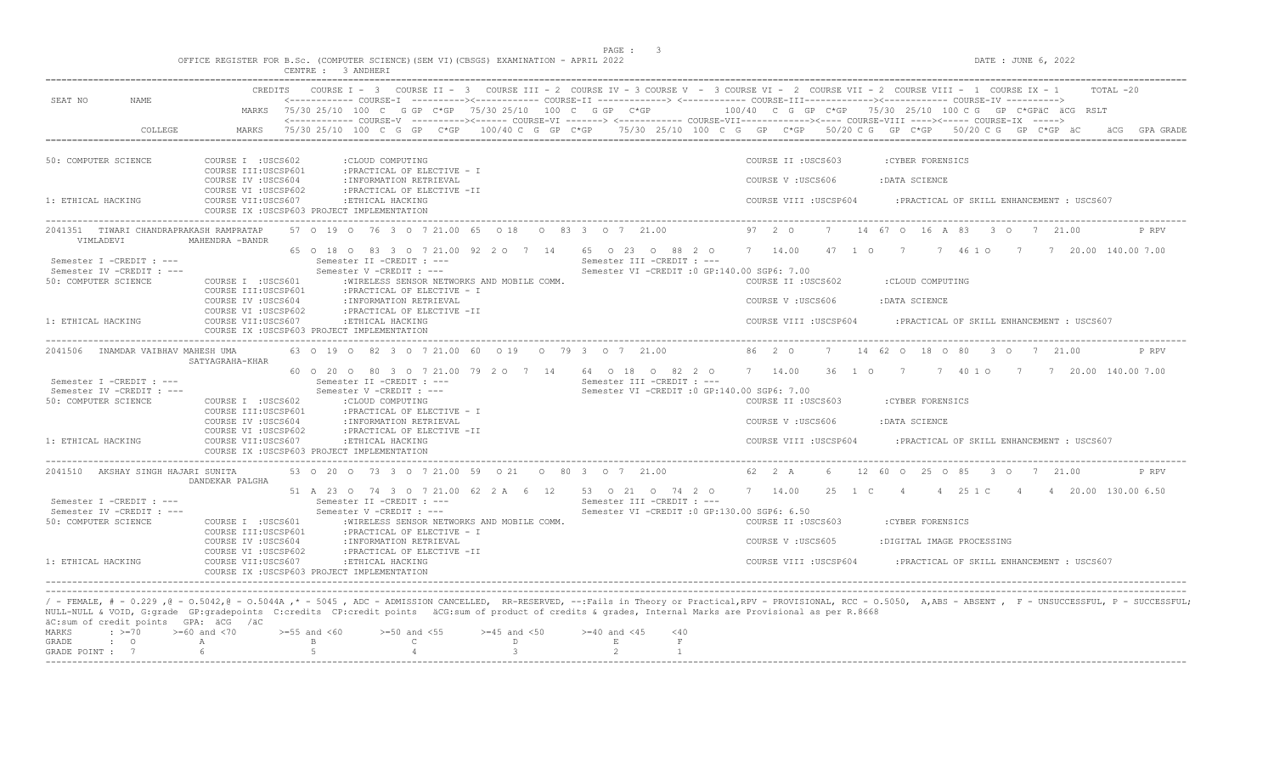$DATA: JUNE 6, 2022$ 

|  |                    |  |  |  | OFFICE REGISTER FOR B.Sc. (COMPUTER SCIENCE)(SEM VI)(CBSGS) EXAMINATION - APRIL 2022 |  |  |
|--|--------------------|--|--|--|--------------------------------------------------------------------------------------|--|--|
|  | CENTRE : 3 ANDHERI |  |  |  |                                                                                      |  |  |

| SEAT NO<br><b>NAME</b>                                                                                                                                                                           | CREDITS                                                           | COURSE $I - 3$<br>COURSE II $-$ 3                                                                               |                               |                                                |                                              |                        | COURSE III - 2 COURSE IV - 3 COURSE V - 3 COURSE VI - 2 COURSE VII - 2 COURSE VIII - 1 COURSE IX - 1<br>TOTAL -20<br><------------ COURSE-I ----------><----------- COURSE-II -------------> <------------ COURSE-III------------><----------- COURSE-IV ---------->                     |
|--------------------------------------------------------------------------------------------------------------------------------------------------------------------------------------------------|-------------------------------------------------------------------|-----------------------------------------------------------------------------------------------------------------|-------------------------------|------------------------------------------------|----------------------------------------------|------------------------|------------------------------------------------------------------------------------------------------------------------------------------------------------------------------------------------------------------------------------------------------------------------------------------|
|                                                                                                                                                                                                  |                                                                   | MARKS 75/30 25/10 100 C G GP C*GP 75/30 25/10 100 C G GP C*GP                                                   |                               |                                                |                                              |                        | 100/40 C G GP C*GP 75/30 25/10 100 C G GP C*GPäC äCG RSLT                                                                                                                                                                                                                                |
| COLLEGE                                                                                                                                                                                          | MARKS                                                             |                                                                                                                 |                               |                                                |                                              |                        | <------------- COURSE-V ----------><----- COURSE-VI -------> <------------ COURSE-VII-----------><---- COURSE-VIII ----><----- COURSE-VIX -----><br>$75/30$ 25/10 100 C G GP C*GP 100/40 C G GP C*GP 75/30 25/10 100 C G GP C*GP 50/20 C G GP C*GP 50/20 C G GP C*GP äC<br>äCG GPA GRADE |
| 50: COMPUTER SCIENCE                                                                                                                                                                             | COURSE I : USCS602<br>COURSE III: USCSP601                        | :CLOUD COMPUTING<br>: PRACTICAL OF ELECTIVE - I                                                                 |                               |                                                |                                              | COURSE II : USCS603    | :CYBER FORENSICS                                                                                                                                                                                                                                                                         |
|                                                                                                                                                                                                  | COURSE IV : USCS604<br>COURSE VI : USCSP602                       | : INFORMATION RETRIEVAL<br>: PRACTICAL OF ELECTIVE -II                                                          |                               |                                                |                                              | COURSE V : USCS606     | :DATA SCIENCE                                                                                                                                                                                                                                                                            |
| 1: ETHICAL HACKING                                                                                                                                                                               | COURSE VII:USCS607<br>COURSE IX : USCSP603 PROJECT IMPLEMENTATION | :ETHICAL HACKING                                                                                                |                               |                                                |                                              | COURSE VIII : USCSP604 | : PRACTICAL OF SKILL ENHANCEMENT : USCS607                                                                                                                                                                                                                                               |
| 2041351 TIWARI CHANDRAPRAKASH RAMPRATAP<br>VIMLADEVI                                                                                                                                             | MAHENDRA -BANDR                                                   | 57 0 19 0 76 3 0 7 21.00 65 0 18 0 83 3 0 7 21.00                                                               |                               |                                                |                                              | 97 2 0                 | 14 67 0 16 A 83 3 0 7 21.00<br>7<br>P RPV                                                                                                                                                                                                                                                |
| Semester I -CREDIT : ---<br>Semester IV -CREDIT : ---                                                                                                                                            |                                                                   | 65 0 18 0 83 3 0 7 21 00 92 2 0 7 14 65 0 23 0 88 2 0<br>Semester II - CREDIT : ---<br>Semester V -CREDIT : --- |                               | Semester III -CREDIT : ---                     | Semester VI -CREDIT : 0 GP:140.00 SGP6: 7.00 | 7 14.00                | 47 1 0 7 7 46 1 0 7 7 7 20.00 140.00 7.00                                                                                                                                                                                                                                                |
| 50: COMPUTER SCIENCE                                                                                                                                                                             | COURSE I : USCS601                                                | : WIRELESS SENSOR NETWORKS AND MOBILE COMM.                                                                     |                               |                                                |                                              | COURSE II : USCS602    | :CLOUD COMPUTING                                                                                                                                                                                                                                                                         |
|                                                                                                                                                                                                  | COURSE III: USCSP601<br>COURSE IV : USCS604                       | : PRACTICAL OF ELECTIVE - I<br>: INFORMATION RETRIEVAL                                                          |                               |                                                |                                              | COURSE V : USCS606     | : DATA SCIENCE                                                                                                                                                                                                                                                                           |
| 1: ETHICAL HACKING                                                                                                                                                                               | COURSE VI : USCSP602<br>COURSE VII:USCS607                        | : PRACTICAL OF ELECTIVE -II<br>:ETHICAL HACKING                                                                 |                               |                                                |                                              | COURSE VIII : USCSP604 | : PRACTICAL OF SKILL ENHANCEMENT : USCS607                                                                                                                                                                                                                                               |
|                                                                                                                                                                                                  | COURSE IX : USCSP603 PROJECT IMPLEMENTATION                       |                                                                                                                 |                               |                                                |                                              |                        |                                                                                                                                                                                                                                                                                          |
| 2041506 INAMDAR VAIBHAV MAHESH UMA                                                                                                                                                               | SATYAGRAHA-KHAR                                                   | 63 0 19 0 82 3 0 7 21.00 60 0 19 0 79 3 0 7 21.00                                                               |                               |                                                |                                              | 86 2 0                 | 7 14 62 0 18 0 80 3 0 7 21.00<br>P RPV                                                                                                                                                                                                                                                   |
| Semester I -CREDIT : ---<br>Semester IV -CREDIT : ---                                                                                                                                            |                                                                   | 60 0 20 0 80 3 0 7 21 00 79 2 0 7 14<br>Semester II -CREDIT : ---<br>Semester V -CREDIT : ---                   |                               | 64 0 18 0 82 2 0<br>Semester III -CREDIT : --- | Semester VI -CREDIT : 0 GP:140.00 SGP6: 7.00 | 7 14.00                | 36 1 0 7<br>7 40 1 0 7 7 20.00 140.00 7.00                                                                                                                                                                                                                                               |
| 50: COMPUTER SCIENCE                                                                                                                                                                             | COURSE I : USCS602<br>COURSE III: USCSP601                        | :CLOUD COMPUTING<br>: PRACTICAL OF ELECTIVE - I                                                                 |                               |                                                |                                              | COURSE II : USCS603    | :CYBER FORENSICS                                                                                                                                                                                                                                                                         |
|                                                                                                                                                                                                  | COURSE IV : USCS604<br>COURSE VI : USCSP602                       | : INFORMATION RETRIEVAL<br>: PRACTICAL OF ELECTIVE -II                                                          |                               |                                                |                                              | COURSE V :USCS606      | : DATA SCIENCE                                                                                                                                                                                                                                                                           |
| 1: ETHICAL HACKING                                                                                                                                                                               | COURSE VII:USCS607<br>COURSE IX : USCSP603 PROJECT IMPLEMENTATION | :ETHICAL HACKING                                                                                                |                               |                                                |                                              | COURSE VIII : USCSP604 | : PRACTICAL OF SKILL ENHANCEMENT : USCS607                                                                                                                                                                                                                                               |
| 2041510 AKSHAY SINGH HAJARI SUNITA                                                                                                                                                               | DANDEKAR PALGHA                                                   | 53 0 20 0 73 3 0 7 21 00 59 0 21 0 80 3 0 7 21 00                                                               |                               |                                                |                                              | 62 2 A                 | 12 60 0 25 0 85<br>3 0 7 21.00<br>P RPV                                                                                                                                                                                                                                                  |
| Semester I -CREDIT : ---                                                                                                                                                                         |                                                                   | 51 A 23 O 74 3 O 7 21.00 62 2 A 6 12 53 O 21 O 74 2 O<br>Semester II -CREDIT : ---                              |                               | Semester III -CREDIT : ---                     |                                              | 7 14.00                | 25 1 C 4<br>4 25 1 C<br>4 4 20.00 130.00 6.50                                                                                                                                                                                                                                            |
| Semester IV -CREDIT : ---                                                                                                                                                                        |                                                                   | Semester V -CREDIT : ---                                                                                        |                               |                                                | Semester VI -CREDIT : 0 GP:130.00 SGP6: 6.50 |                        |                                                                                                                                                                                                                                                                                          |
| 50: COMPUTER SCIENCE                                                                                                                                                                             | COURSE I : USCS601<br>COURSE III:USCSP601                         | :WIRELESS SENSOR NETWORKS AND MOBILE COMM.<br>: PRACTICAL OF ELECTIVE - I                                       |                               |                                                |                                              | COURSE II : USCS603    | :CYBER FORENSICS                                                                                                                                                                                                                                                                         |
|                                                                                                                                                                                                  | COURSE IV : USCS604<br>COURSE VI : USCSP602                       | : INFORMATION RETRIEVAL<br>: PRACTICAL OF ELECTIVE -II                                                          |                               |                                                |                                              | COURSE V: USCS605      | :DIGITAL IMAGE PROCESSING                                                                                                                                                                                                                                                                |
| 1: ETHICAL HACKING                                                                                                                                                                               | COURSE VII:USCS607<br>COURSE IX : USCSP603 PROJECT IMPLEMENTATION | :ETHICAL HACKING                                                                                                |                               |                                                |                                              | COURSE VIII : USCSP604 | : PRACTICAL OF SKILL ENHANCEMENT : USCS607                                                                                                                                                                                                                                               |
|                                                                                                                                                                                                  |                                                                   |                                                                                                                 |                               |                                                |                                              |                        |                                                                                                                                                                                                                                                                                          |
| NULL-NULL & VOID, G:grade GP:gradepoints C:credits CP:credit points äCG:sum of product of credits & grades, Internal Marks are Provisional as per R.8668<br>äC:sum of credit points GPA: äCG /äC |                                                                   |                                                                                                                 |                               |                                                |                                              |                        | / - FEMALE, # - 0.229 ,@ - 0.5042,@ - 0.5044A ,* - 5045 , ADC - ADMISSION CANCELLED, RR-RESERVED, --:Fails in Theory or Practical,RPV - PROVISIONAL, RCC - 0.5050, A,ABS - ABSENT , F - UNSUCCESSFUL, P - SUCCESSFUL;                                                                    |
| MARKS<br>$\div$ >=70                                                                                                                                                                             | $>=60$ and $<70$<br>$>=55$ and $<60$                              | $>=50$ and $<55$                                                                                                | $>=45$ and $<50$              | $>= 40$ and $< 45$                             | $<$ 40                                       |                        |                                                                                                                                                                                                                                                                                          |
| GRADE<br>$\mathbf{C}$<br>GRADE POINT : 7                                                                                                                                                         | $\mathbf{B}$<br>A<br>$5^{\circ}$<br>6                             | $\mathbb{C}$                                                                                                    | $\mathbb{D}$<br>$\mathcal{L}$ | $\mathbf{E}$<br>2                              | $\mathbf{F}$<br>$\overline{1}$               |                        |                                                                                                                                                                                                                                                                                          |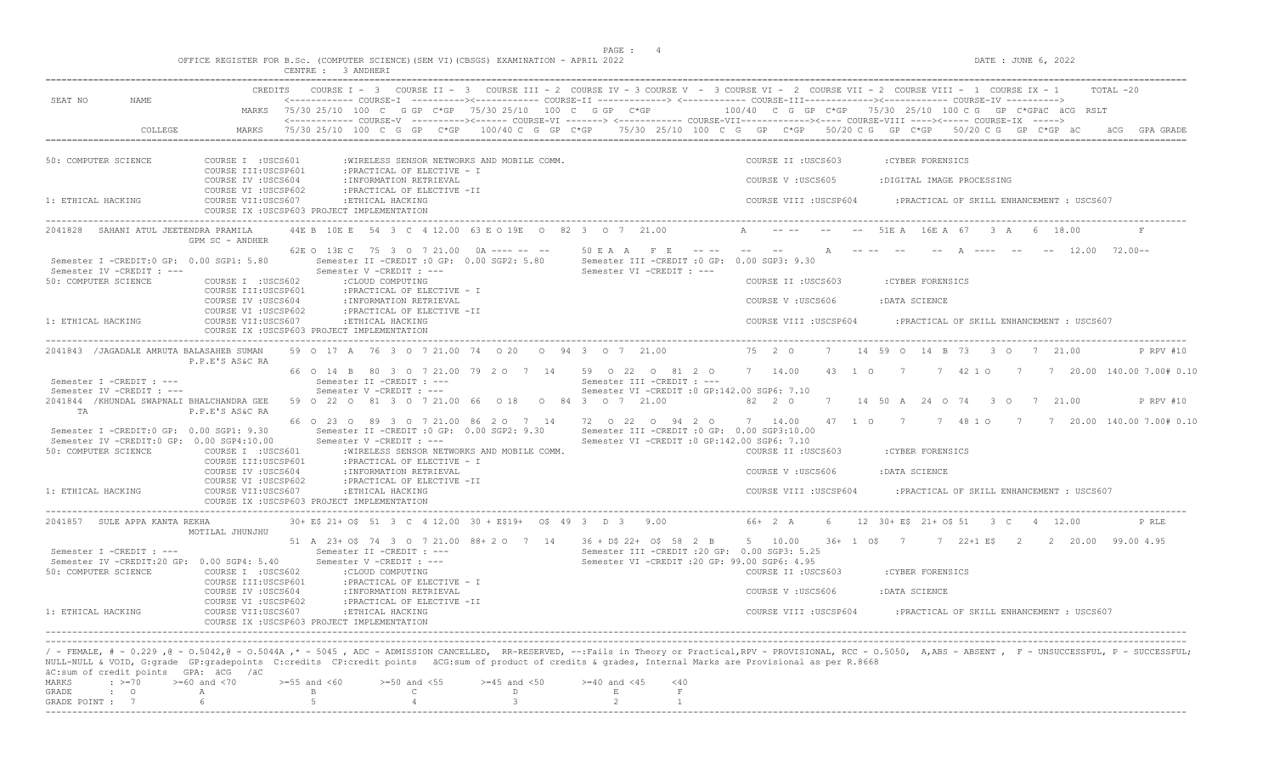|                                                                                                               |                                             | OFFICE REGISTER FOR B.Sc. (COMPUTER SCIENCE) (SEM VI) (CBSGS) EXAMINATION - APRIL 2022                                                                        |                               | PAGE : 4                   | DATE : JUNE 6, 2022                                                                                                                                                                                                                                                                                                                                                               |
|---------------------------------------------------------------------------------------------------------------|---------------------------------------------|---------------------------------------------------------------------------------------------------------------------------------------------------------------|-------------------------------|----------------------------|-----------------------------------------------------------------------------------------------------------------------------------------------------------------------------------------------------------------------------------------------------------------------------------------------------------------------------------------------------------------------------------|
|                                                                                                               |                                             | CENTRE : 3 ANDHERI                                                                                                                                            |                               |                            |                                                                                                                                                                                                                                                                                                                                                                                   |
| SEAT NO<br>NAME                                                                                               | CREDITS<br>MARKS                            | 75/30 25/10 100 C G GP C*GP 75/30 25/10 100 C G GP C*GP                                                                                                       |                               |                            | COURSE I - 3 COURSE II - 3 COURSE III - 2 COURSE IV - 3 COURSE V - 3 COURSE VI - 2 COURSE VII - 2 COURSE VIII - 1 COURSE IX - 1<br>TOTAL -20<br><------------ COURSE-I ----------><----------- COURSE-II -------------> <------------ COURSE-III-----------><------------ COURSE-IV ---------->><br>$100/40$ C G GP C*GP $75/30$ 25/10 100 C G GP C*GPäC äCG RSLT                 |
| COLLEGE                                                                                                       | MARKS                                       |                                                                                                                                                               |                               |                            | <------------- COURSE-V ----------><----- COURSE-VI -------> <----------- COURSE-VII-----------><---- COURSE-VIII ----><----- COURSE-IX -----><br>75/30 25/10 100 C G GP C*GP 100/40 C G GP C*GP 75/30 25/10 100 C G GP C*GP 50/20 C G GP C*GP 50/20 C G GP C*GP äC<br>GPA GRADE                                                                                                  |
| 50: COMPUTER SCIENCE                                                                                          | COURSE I : USCS601                          | :WIRELESS SENSOR NETWORKS AND MOBILE COMM.                                                                                                                    |                               |                            | COURSE II : USCS603<br>:CYBER FORENSICS                                                                                                                                                                                                                                                                                                                                           |
|                                                                                                               | COURSE III:USCSP601<br>COURSE IV : USCS604  | : PRACTICAL OF ELECTIVE - I<br>: INFORMATION RETRIEVAL                                                                                                        |                               |                            | COURSE V: USCS605<br>:DIGITAL IMAGE PROCESSING                                                                                                                                                                                                                                                                                                                                    |
| 1: ETHICAL HACKING                                                                                            | COURSE VI : USCSP602<br>COURSE VII:USCS607  | : PRACTICAL OF ELECTIVE -II<br>:ETHICAL HACKING<br>COURSE IX : USCSP603 PROJECT IMPLEMENTATION                                                                |                               |                            | COURSE VIII : USCSP604<br>: PRACTICAL OF SKILL ENHANCEMENT : USCS607                                                                                                                                                                                                                                                                                                              |
| 2041828 SAHANI ATUL JEETENDRA PRAMILA                                                                         | GPM SC - ANDHER                             | 44E B 10E E 54 3 C 4 12.00 63 E O 19E O 82 3 O 7 21.00                                                                                                        |                               |                            | A ---- --<br>51E A 16E A 67 3 A 6 18.00                                                                                                                                                                                                                                                                                                                                           |
| Semester I -CREDIT:0 GP: 0.00 SGP1: 5.80                                                                      |                                             | 62E O 13E C 75 3 O 7 21.00 0A ---- -- --<br>Semester II -CREDIT : 0 GP: 0.00 SGP2: 5.80                                                                       |                               |                            | 50 E A A F E ---- -- -- -- A ---- --<br>$--- 12.00 72.00---$<br>Semester III - CREDIT : 0 GP: 0.00 SGP3: 9.30                                                                                                                                                                                                                                                                     |
| Semester IV -CREDIT : ---<br>50: COMPUTER SCIENCE                                                             | COURSE I : USCS602<br>COURSE III: USCSP601  | Semester V -CREDIT : ---<br>:CLOUD COMPUTING<br>: PRACTICAL OF ELECTIVE - I                                                                                   |                               | Semester VI -CREDIT : ---  | COURSE II : USCS603<br>: CYBER FORENSICS                                                                                                                                                                                                                                                                                                                                          |
|                                                                                                               | COURSE IV : USCS604<br>COURSE VI : USCSP602 | : INFORMATION RETRIEVAL<br>: PRACTICAL OF ELECTIVE -II                                                                                                        |                               |                            | COURSE V: USCS606<br>:DATA SCIENCE                                                                                                                                                                                                                                                                                                                                                |
| 1: ETHICAL HACKING                                                                                            | COURSE VII:USCS607                          | : ETHICAL HACKING<br>COURSE IX : USCSP603 PROJECT IMPLEMENTATION                                                                                              |                               |                            | COURSE VIII : USCSP604<br>: PRACTICAL OF SKILL ENHANCEMENT : USCS607                                                                                                                                                                                                                                                                                                              |
| 2041843 / JAGADALE AMRUTA BALASAHEB SUMAN                                                                     | P.P.E'S AS&C RA                             | 59 0 17 A 76 3 0 7 21.00 74 0 20 0 94 3 0 7 21.00                                                                                                             |                               |                            | 75 2 0<br>7 14 59 0 14 B 73 3 0 7 21 00<br>P RPV #10                                                                                                                                                                                                                                                                                                                              |
| Semester I -CREDIT : ---<br>Semester IV -CREDIT : ---                                                         |                                             | Semester II -CREDIT : ---<br>Semester V -CREDIT : ---                                                                                                         |                               | Semester III -CREDIT : --- | 66 0 14 B 80 3 0 7 21.00 79 2 0 7 14 59 0 22 0 81 2 0 7 14.00 43 1 0 7 7 42 1 0 7 7 20.00 140.00 7.00# 0.10<br>Semester VI - CREDIT : 0 GP: 142.00 SGP6: 7.10                                                                                                                                                                                                                     |
| 2041844 / KHUNDAL SWAPNALI BHALCHANDRA GEE<br>TA                                                              | P.P.E'S AS&C RA                             | 59 0 22 0 81 3 0 7 21.00 66 0 18 0 84 3 0 7 21.00                                                                                                             |                               |                            | 82 2 0<br>7 14 50 A 24 O 74 3 O 7 21.00<br>P RPV #10                                                                                                                                                                                                                                                                                                                              |
| Semester I -CREDIT:0 GP: 0.00 SGP1: 9.30<br>Semester IV -CREDIT:0 GP: 0.00 SGP4:10.00<br>50: COMPUTER SCIENCE | COURSE I :USCS601                           | 66 0 23 0 89 3 0 7 21 00 86 2 0 7 14<br>Semester II -CREDIT : 0 GP: 0.00 SGP2: 9.30<br>Semester V -CREDIT : ---<br>:WIRELESS SENSOR NETWORKS AND MOBILE COMM. |                               | 72 0 22 0 94 2 0           | 47 1 0 7 7 48 1 0 7 7 20.00 140.00 7.00# 0.10<br>7 14.00<br>Semester III - CREDIT : 0 GP: 0.00 SGP3:10.00<br>Semester VI - CREDIT : 0 GP: 142.00 SGP6: 7.10<br>COURSE II : USCS603<br>: CYBER FORENSICS                                                                                                                                                                           |
|                                                                                                               | COURSE III:USCSP601<br>COURSE IV : USCS604  | : PRACTICAL OF ELECTIVE - I<br>: INFORMATION RETRIEVAL                                                                                                        |                               |                            | COURSE V: USCS606<br>:DATA SCIENCE                                                                                                                                                                                                                                                                                                                                                |
| 1: ETHICAL HACKING                                                                                            | COURSE VI : USCSP602<br>COURSE VII:USCS607  | : PRACTICAL OF ELECTIVE -II<br>:ETHICAL HACKING<br>COURSE IX : USCSP603 PROJECT IMPLEMENTATION                                                                |                               |                            | COURSE VIII : USCSP604<br>: PRACTICAL OF SKILL ENHANCEMENT : USCS607                                                                                                                                                                                                                                                                                                              |
| 2041857 SULE APPA KANTA REKHA                                                                                 | MOTILAL JHUNJHU                             | 30+ E\$ 21+ O\$ 51 3 C 4 12.00 30 + E\$19+ O\$ 49 3 D 3 9.00                                                                                                  |                               |                            | 66+ 2 A<br>6 12 30 + E\$ 21 + O\$ 51 3 C 4 12.00<br>P RLE                                                                                                                                                                                                                                                                                                                         |
| Semester I -CREDIT : ---<br>Semester IV -CREDIT:20 GP: 0.00 SGP4: 5.40<br>50: COMPUTER SCIENCE                | COURSE I : USCS602                          | 51 A 23+ OS 74 3 O 7 21.00 88+ 2 O 7 14 36 + DS 22+ OS 58 2 B 5 10.00<br>Semester II -CREDIT : ---<br>Semester V -CREDIT : ---<br>: CLOUD COMPUTING           |                               |                            | 36+ 1 0\$ 7 7 22+1 E\$ 2 2 20.00 99.00 4.95<br>Semester III -CREDIT : 20 GP: 0.00 SGP3: 5.25<br>Semester VI - CREDIT : 20 GP: 99.00 SGP6: 4.95<br>COURSE II : USCS603<br>: CYBER FORENSICS                                                                                                                                                                                        |
|                                                                                                               | COURSE III:USCSP601<br>COURSE IV : USCS604  | : PRACTICAL OF ELECTIVE - I<br>: INFORMATION RETRIEVAL                                                                                                        |                               |                            | COURSE V: USCS606<br>:DATA SCIENCE                                                                                                                                                                                                                                                                                                                                                |
| 1: ETHICAL HACKING                                                                                            | COURSE VI : USCSP602<br>COURSE VII: USCS607 | : PRACTICAL OF ELECTIVE -II<br>:ETHICAL HACKING<br>COURSE IX : USCSP603 PROJECT IMPLEMENTATION                                                                |                               |                            | COURSE VIII : USCSP604<br>: PRACTICAL OF SKILL ENHANCEMENT : USCS607                                                                                                                                                                                                                                                                                                              |
|                                                                                                               |                                             |                                                                                                                                                               |                               |                            | / - FEMALE, # - 0.229 ,@ - 0.5042,@ - 0.5044A ,* - 5045 , ADC - ADMISSION CANCELLED, RR-RESERVED, --:Fails in Theory or Practical,RPV - PROVISIONAL, RCC - 0.5050, A,ABS - ABSENT , F - UNSUCCESSFUL, P - SUCCESSFUL;<br>NULL-NULL & VOID, G:grade GP:gradepoints C:credits CP:credit points äCG:sum of product of credits & grades, Internal Marks are Provisional as per R.8668 |
| äC:sum of credit points GPA: äCG /äC<br>$\div$ >=70<br>MARKS                                                  | >=60 and <70                                | $>=55$ and $<60$<br>$>=50$ and $<55$                                                                                                                          | $>=45$ and $<50$              | $>= 40$ and $< 45$         | $<$ 40                                                                                                                                                                                                                                                                                                                                                                            |
| $\cdot$ 0<br>GRADE<br>GRADE POINT : 7                                                                         | Α<br>6                                      | $\mathsf{C}$<br>B<br>$\overline{5}$                                                                                                                           | $\mathbb D$<br>$\overline{3}$ | Ε                          | $\;$ F                                                                                                                                                                                                                                                                                                                                                                            |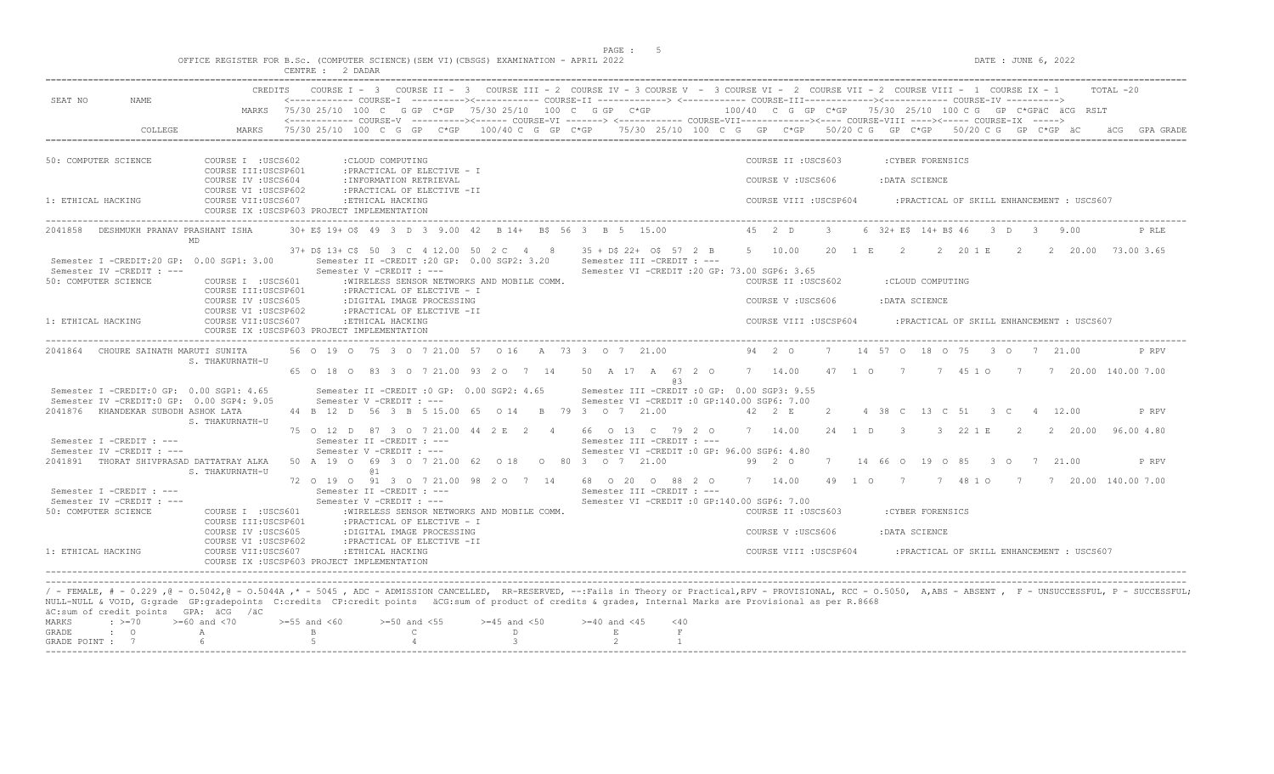$DATA: JUNE 6, 2022$ 

|  |  |                  |  |  |  | OFFICE REGISTER FOR B.Sc. (COMPUTER SCIENCE)(SEM VI)(CBSGS) EXAMINATION - APRIL 2022 |  |  |
|--|--|------------------|--|--|--|--------------------------------------------------------------------------------------|--|--|
|  |  | CENTRE : 2 DADAR |  |  |  |                                                                                      |  |  |

|                                                                                       |                                             | COURSE I - 3 COURSE II - 3 COURSE III - 2 COURSE IV - 3 COURSE V - 3 COURSE VI - 2 COURSE VII - 2 COURSE VIII - 1 COURSE IX - 1                                                                                                                                                                                                                                                  |                    |                                                                                               |                        |                |                |                   |                                            | TOTAL -20                                 |
|---------------------------------------------------------------------------------------|---------------------------------------------|----------------------------------------------------------------------------------------------------------------------------------------------------------------------------------------------------------------------------------------------------------------------------------------------------------------------------------------------------------------------------------|--------------------|-----------------------------------------------------------------------------------------------|------------------------|----------------|----------------|-------------------|--------------------------------------------|-------------------------------------------|
| SEAT NO<br>NAME.                                                                      |                                             | <------------ COURSE-I ----------><----------- COURSE-II --------------> <------------ COURSE-III------------><----------> COURSE-IV ----------><br>MARKS 75/30 25/10 100 C G GP C*GP 75/30 25/10 100 C G GP C*GP 100/40 C G GP C*GP 75/30 25/10 100 C G GP C*GPäC äCG RSLT                                                                                                      |                    |                                                                                               |                        |                |                |                   |                                            |                                           |
| COLLEGE                                                                               | MARKS                                       | <------------ COURSE-V ----------><------ COURSE-VI -------> <------------ COURSE-VII-----------><---- COURSE-VIII ----><----- COURSE-IX -----><br>75/30 25/10 100 C G GP C*GP 100/40 C G GP C*GP 75/30 25/10 100 C G GP C*GP 50/20 C G GP C*GP 50/20 C G GP C*GP äC                                                                                                             |                    |                                                                                               |                        |                |                |                   |                                            | GPA GRADE                                 |
|                                                                                       |                                             |                                                                                                                                                                                                                                                                                                                                                                                  |                    |                                                                                               |                        |                |                |                   |                                            |                                           |
| 50: COMPUTER SCIENCE                                                                  | COURSE I : USCS602<br>COURSE III:USCSP601   | : CLOUD COMPUTING<br>: PRACTICAL OF ELECTIVE - I                                                                                                                                                                                                                                                                                                                                 |                    |                                                                                               | COURSE II : USCS603    |                |                | : CYBER FORENSICS |                                            |                                           |
|                                                                                       | COURSE IV : USCS604<br>COURSE VI : USCSP602 | : INFORMATION RETRIEVAL<br>: PRACTICAL OF ELECTIVE -II                                                                                                                                                                                                                                                                                                                           |                    |                                                                                               | COURSE V: USCS606      |                | :DATA SCIENCE  |                   |                                            |                                           |
| 1: ETHICAL HACKING                                                                    | COURSE VII:USCS607                          | :ETHICAL HACKING<br>COURSE IX : USCSP603 PROJECT IMPLEMENTATION                                                                                                                                                                                                                                                                                                                  |                    |                                                                                               | COURSE VIII : USCSP604 |                |                |                   | : PRACTICAL OF SKILL ENHANCEMENT : USCS607 |                                           |
| 2041858 DESHMUKH PRANAV PRASHANT ISHA<br><b>MD</b>                                    |                                             | 30+ E\$ 19+ O\$ 49 3 D 3 9.00 42 B 14+ B\$ 56 3 B 5 15.00                                                                                                                                                                                                                                                                                                                        |                    |                                                                                               | $45 \t2 \tD$           | $\mathbf{3}$   |                |                   | 6 32 + E\$ 14 + B\$ 46 3 D 3 9.00          | P RLE                                     |
| Semester I -CREDIT:20 GP: 0.00 SGP1: 3.00                                             |                                             | 37+ D\$ 13+ C\$ 50 3 C 4 12.00 50 2 C 4 8 35 + D\$ 22+ O\$ 57 2 B 5 10.00 20 1 E 2 2 20 1 E 2 2 20.00 73.00 3.65<br>Semester II -CREDIT : 20 GP: 0.00 SGP2: 3.20                                                                                                                                                                                                                 |                    | Semester III -CREDIT : ---                                                                    |                        |                |                |                   |                                            |                                           |
| Semester IV -CREDIT : ---<br>50: COMPUTER SCIENCE                                     | COURSE I : USCS601                          | Semester V -CREDIT : ---<br>:WIRELESS SENSOR NETWORKS AND MOBILE COMM.                                                                                                                                                                                                                                                                                                           |                    | Semester VI -CREDIT : 20 GP: 73.00 SGP6: 3.65                                                 | COURSE II : USCS602    |                |                | :CLOUD COMPUTING  |                                            |                                           |
|                                                                                       | COURSE III:USCSP601                         | : PRACTICAL OF ELECTIVE - I                                                                                                                                                                                                                                                                                                                                                      |                    |                                                                                               |                        |                |                |                   |                                            |                                           |
|                                                                                       | COURSE IV : USCS605<br>COURSE VI : USCSP602 | :DIGITAL IMAGE PROCESSING<br>: PRACTICAL OF ELECTIVE -II                                                                                                                                                                                                                                                                                                                         |                    |                                                                                               | COURSE V: USCS606      |                | : DATA SCIENCE |                   |                                            |                                           |
| 1: ETHICAL HACKING                                                                    | COURSE VII:USCS607                          | :ETHICAL HACKING<br>COURSE IX : USCSP603 PROJECT IMPLEMENTATION                                                                                                                                                                                                                                                                                                                  |                    |                                                                                               | COURSE VIII : USCSP604 |                |                |                   | : PRACTICAL OF SKILL ENHANCEMENT : USCS607 |                                           |
| 2041864 CHOURE SAINATH MARUTI SUNITA                                                  | S. THAKURNATH-U                             | 56 0 19 0 75 3 0 7 21.00 57 0 16 A 73 3 0 7 21.00                                                                                                                                                                                                                                                                                                                                |                    |                                                                                               | 94 2 0                 |                |                |                   | 7 14 57 0 18 0 75 3 0 7 21.00              | P RPV                                     |
|                                                                                       |                                             | 65 0 18 0 83 3 0 7 21.00 93 2 0 7 14 50 A 17 A 67 2 0 7 14.00 47 1 0 7 7 45 1 0 7 7 20.00 140.00 7.00                                                                                                                                                                                                                                                                            |                    | R B                                                                                           |                        |                |                |                   |                                            |                                           |
| Semester I -CREDIT:0 GP: 0.00 SGP1: 4.65<br>Semester IV -CREDIT:0 GP: 0.00 SGP4: 9.05 |                                             | Semester II -CREDIT : 0 GP: 0.00 SGP2: 4.65<br>Semester V -CREDIT : ---                                                                                                                                                                                                                                                                                                          |                    | Semester III - CREDIT : 0 GP: 0.00 SGP3: 9.55<br>Semester VI -CREDIT : 0 GP:140.00 SGP6: 7.00 |                        |                |                |                   |                                            |                                           |
| 2041876 KHANDEKAR SUBODH ASHOK LATA                                                   | S. THAKURNATH-U                             | 44 B 12 D 56 3 B 5 15.00 65 O 14 B 79 3 O 7 21.00                                                                                                                                                                                                                                                                                                                                |                    |                                                                                               | $42 \quad 2 \quad E$   | $\overline{2}$ |                |                   | 4 38 C 13 C 51 3 C 4 12.00                 | P RPV                                     |
| Semester I -CREDIT : ---                                                              |                                             | 75 0 12 D 87 3 0 7 21.00 44 2 E 2 4 66 0 13 C 79 2 0 7 14.00 24 1 D 3 3 22 1 E 2 2 20.00 96.00 4.80<br>Semester II -CREDIT : ---                                                                                                                                                                                                                                                 |                    | Semester III -CREDIT : ---                                                                    |                        |                |                |                   |                                            |                                           |
| Semester IV -CREDIT : ---<br>2041891 THORAT SHIVPRASAD DATTATRAY ALKA                 |                                             | Semester V -CREDIT : ---<br>50 A 19 O 69 3 O 7 21.00 62 O 18 O 80 3 O 7 21.00 99 2 O                                                                                                                                                                                                                                                                                             |                    | Semester VI -CREDIT : 0 GP: 96.00 SGP6: 4.80                                                  |                        |                |                |                   | 7 14 66 0 19 0 85 3 0 7 21.00              | P RPV                                     |
|                                                                                       | S. THAKURNATH-U                             | @ 1<br>72 0 19 0 91 3 0 7 21 00 98 2 0 7 14 68 0 20 0 88 2 0 7 14 00                                                                                                                                                                                                                                                                                                             |                    |                                                                                               |                        |                |                |                   |                                            | 49 1 0 7 7 48 1 0 7 7 7 20.00 140.00 7.00 |
| Semester I -CREDIT : ---<br>Semester IV -CREDIT : ---                                 |                                             | Semester II -CREDIT : ---<br>Semester V -CREDIT : ---                                                                                                                                                                                                                                                                                                                            |                    | Semester III -CREDIT : ---<br>Semester VI -CREDIT : 0 GP:140.00 SGP6: 7.00                    |                        |                |                |                   |                                            |                                           |
| 50: COMPUTER SCIENCE                                                                  | COURSE I : USCS601<br>COURSE III: USCSP601  | : WIRELESS SENSOR NETWORKS AND MOBILE COMM.<br>: PRACTICAL OF ELECTIVE - I                                                                                                                                                                                                                                                                                                       |                    |                                                                                               | COURSE II : USCS603    |                |                | :CYBER FORENSICS  |                                            |                                           |
|                                                                                       | COURSE IV :USCS605<br>COURSE VI : USCSP602  | :DIGITAL IMAGE PROCESSING<br>: PRACTICAL OF ELECTIVE -II                                                                                                                                                                                                                                                                                                                         |                    |                                                                                               | COURSE V: USCS606      |                | :DATA SCIENCE  |                   |                                            |                                           |
| 1: ETHICAL HACKING                                                                    | COURSE VII:USCS607                          | : ETHICAL HACKING<br>COURSE IX : USCSP603 PROJECT IMPLEMENTATION                                                                                                                                                                                                                                                                                                                 |                    |                                                                                               | COURSE VIII : USCSP604 |                |                |                   | : PRACTICAL OF SKILL ENHANCEMENT : USCS607 |                                           |
|                                                                                       |                                             |                                                                                                                                                                                                                                                                                                                                                                                  |                    |                                                                                               |                        |                |                |                   |                                            |                                           |
|                                                                                       |                                             | / - FEMALE, # - 0.229, 0 - 0.5042, 0 - 0.5044A, * - 5045, ADC - ADMISSION CANCELLED, RR-RESERVED, --:Fails in Theory or Practical,RPV - PROVISIONAL, RCC - 0.5050, A,ABS - ABSENT, F - UNSUCCESSFUL, P - SUCCESSFUL;<br>NULL-NULL & VOID, G:grade GP:gradepoints C:credits CP:credit points äCG:sum of product of credits & grades, Internal Marks are Provisional as per R.8668 |                    |                                                                                               |                        |                |                |                   |                                            |                                           |
| äC:sum of credit points GPA: äCG /äC<br><b>MARKS</b><br>$\div$ >=70                   | $>=60$ and $<70$                            | $>=55$ and $<60$<br>$>=50$ and $<55$                                                                                                                                                                                                                                                                                                                                             | $>=45$ and $<50$   | $>= 40$ and $< 45$<br>$<$ 40                                                                  |                        |                |                |                   |                                            |                                           |
| <b>GRADE</b><br>$\cdot$ 0<br>GRADE POINT : 7                                          | A                                           | B.<br>$\mathbb{C}$                                                                                                                                                                                                                                                                                                                                                               | D<br>$\mathcal{L}$ | $\mathbf E$<br>F<br>$2^{1}$                                                                   |                        |                |                |                   |                                            |                                           |
|                                                                                       |                                             |                                                                                                                                                                                                                                                                                                                                                                                  |                    |                                                                                               |                        |                |                |                   |                                            |                                           |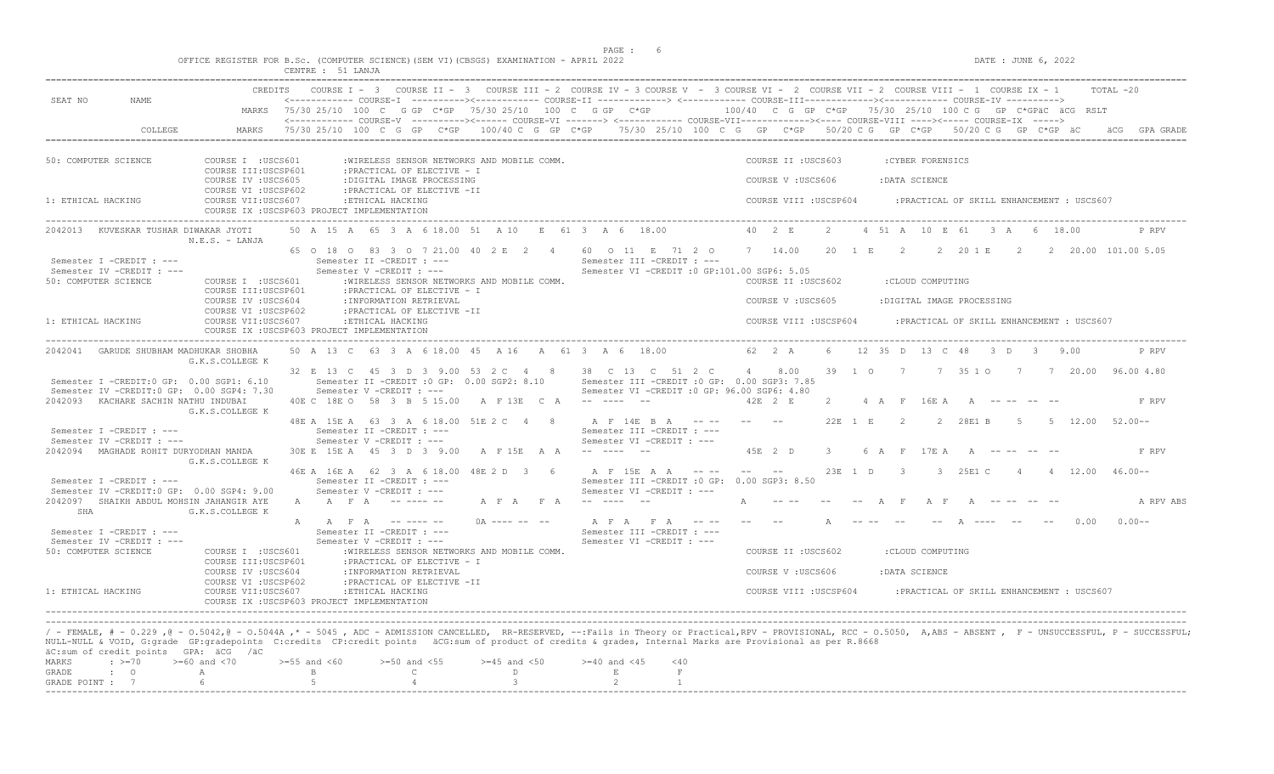| OFFICE REGISTER FOR B.Sc. (COMPUTER SCIENCE) (SEM VI) (CBSGS) EXAMINATION - APRIL 2022<br>CENTRE : 51 LANJA                                                                                                                                                                                                                                                                                                                                                                                                                                                                                                                                                                                                                                               | DATE : JUNE 6, 2022                                                                                                                                                                                                                                                        |
|-----------------------------------------------------------------------------------------------------------------------------------------------------------------------------------------------------------------------------------------------------------------------------------------------------------------------------------------------------------------------------------------------------------------------------------------------------------------------------------------------------------------------------------------------------------------------------------------------------------------------------------------------------------------------------------------------------------------------------------------------------------|----------------------------------------------------------------------------------------------------------------------------------------------------------------------------------------------------------------------------------------------------------------------------|
| CREDITS COURSE I - 3 COURSE II - 3 COURSE III - 2 COURSE IV - 3 COURSE V - 3 COURSE VI - 2 COURSE VIII - 2 COURSE VIII - 1 COURSE IX - 1<br><------------ COURSE-I ----------><----------- COURSE-II -------------> <------------ COURSE-III------------><----------> COURSE-IV ---------->>>>>><br>SEAT NO<br>NAME.<br>MARKS 75/30 25/10 100 C G GP C*GP 75/30 25/10 100 C G GP C*GP 100/40 C G GP C*GP 75/30 25/10 100 C G GP C*GPäC äCG RSLT<br><------------- COURSE-V ----------><----- COURSE-VI -------> <------------ COURSE-VIII-----------><---- COURSE-VIII ----><----- COURSE-IX ----->                                                                                                                                                       | TOTAL -20                                                                                                                                                                                                                                                                  |
| 75/30 25/10 100 C G GP C*GP 100/40 C G GP C*GP 75/30 25/10 100 C G GP C*GP 50/20 C G GP C*GP 50/20 C G GP C*GP äC<br>COLLEGE<br>MARKS                                                                                                                                                                                                                                                                                                                                                                                                                                                                                                                                                                                                                     | äCG GPA GRADE                                                                                                                                                                                                                                                              |
| 50: COMPUTER SCIENCE<br>COURSE I : USCS601<br>:WIRELESS SENSOR NETWORKS AND MOBILE COMM.<br>COURSE III:USCSP601<br>: PRACTICAL OF ELECTIVE - I<br>COURSE IV : USCS605<br>:DIGITAL IMAGE PROCESSING<br>COURSE VI : USCSP602<br>: PRACTICAL OF ELECTIVE -II<br>1: ETHICAL HACKING<br>COURSE VII:USCS607<br>:ETHICAL HACKING<br>COURSE IX : USCSP603 PROJECT IMPLEMENTATION                                                                                                                                                                                                                                                                                                                                                                                  | COURSE II : USCS603<br>: CYBER FORENSICS<br>COURSE V: USCS606<br>: DATA SCIENCE<br>COURSE VIII : USCSP604<br>: PRACTICAL OF SKILL ENHANCEMENT : USCS607                                                                                                                    |
| 50 A 15 A 65 3 A 6 18.00 51 A 10 E 61 3 A 6 18.00<br>2042013 KUVESKAR TUSHAR DIWAKAR JYOTI<br>$N.E.S. - LANJA$<br>65 0 18 0 83 3 0 7 21 00 40 2 E 2 4 60 0 11 E 71 2 0 7 14 00<br>Semester I -CREDIT : ---<br>Semester II -CREDIT : ---<br>Semester III -CREDIT : ---<br>Semester IV -CREDIT : ---<br>Semester V -CREDIT : ---<br>Semester VI -CREDIT : 0 GP:101.00 SGP6: 5.05<br>50: COMPUTER SCIENCE<br>COURSE I : USCS601<br>:WIRELESS SENSOR NETWORKS AND MOBILE COMM.<br>COURSE III:USCSP601<br>: PRACTICAL OF ELECTIVE - I<br>COURSE IV : USCS604<br>: INFORMATION RETRIEVAL<br>COURSE VI : USCSP602<br>: PRACTICAL OF ELECTIVE -II<br>1: ETHICAL HACKING<br>COURSE VII:USCS607<br>: ETHICAL HACKING<br>COURSE IX : USCSP603 PROJECT IMPLEMENTATION | 40 2 E<br>$\sim$ 2<br>4 51 A 10 E 61 3 A 6 18.00<br>P RPV<br>20 1 E 2 2 20 1 E 2 2 20 00 101.00 5.05<br>COURSE II : USCS602<br>: CLOUD COMPUTING<br>COURSE V: USCS605<br>:DIGITAL IMAGE PROCESSING<br>COURSE VIII : USCSP604<br>: PRACTICAL OF SKILL ENHANCEMENT : USCS607 |
| 50 A 13 C 63 3 A 6 18.00 45 A 16 A 61 3 A 6 18.00 62 2 A 6 12 35 D 13 C 48 3 D 3 9.00<br>2042041 GARUDE SHUBHAM MADHUKAR SHOBHA<br>G.K.S.COLLEGE K                                                                                                                                                                                                                                                                                                                                                                                                                                                                                                                                                                                                        | P RPV                                                                                                                                                                                                                                                                      |
| 32 E 13 C 45 3 D 3 9.00 53 2 C 4 8 38 C 13 C 51 2 C 4 8.00 39 1 0 7 7 35 1 0 7 7 20.00 96.00 4.80<br>Semester II - CREDIT : 0 GP: 0.00 SGP2: 8.10<br>Semester I -CREDIT:0 GP: 0.00 SGP1: 6.10<br>Semester III -CREDIT : 0 GP: 0.00 SGP3: 7.85<br>Semester IV -CREDIT:0 GP: 0.00 SGP4: 7.30<br>Semester V -CREDIT : ---<br>Semester VI -CREDIT : 0 GP: 96.00 SGP6: 4.80<br>40E C 18E O 58 3 B 5 15.00 A F 13E C A -- ---- --<br>2042093 KACHARE SACHIN NATHU INDUBAI<br>G.K.S.COLLEGE K<br>48E A 15E A 63 3 A 6 18.00 51E 2 C 4 8<br>A F 14E B A ---- -- --                                                                                                                                                                                                | 42E 2 E<br>2 4 A F 16E A A ---- -- --<br>F RPV<br>22E 1 E<br>$\overline{2}$<br>2 28E1 B<br>$5 \qquad 5 \qquad 12.00 \qquad 52.00--$                                                                                                                                        |
| Semester I -CREDIT : ---<br>Semester II -CREDIT : ---<br>Semester III -CREDIT : ---<br>Semester IV -CREDIT : ---<br>Semester V -CREDIT : ---<br>Semester VI -CREDIT : ---<br>2042094 MAGHADE ROHIT DURYODHAN MANDA<br>30E E 15E A 45 3 D 3 9.00 A F 15E A A -- ---- --<br>G.K.S.COLLEGE K                                                                                                                                                                                                                                                                                                                                                                                                                                                                 | 45E 2 D<br>$\mathcal{S}$<br>6 A F 17EA<br>F RPV<br>A -- -- --                                                                                                                                                                                                              |
| 46E A 16E A 62 3 A 6 18.00 48E 2 D 3 6<br>A F 15E A A ---- -- --<br>Semester I -CREDIT : ---<br>Semester II -CREDIT : ---<br>Semester III -CREDIT : 0 GP: 0.00 SGP3: 8.50<br>Semester IV -CREDIT:0 GP: 0.00 SGP4: 9.00<br>Semester V -CREDIT : ---<br>Semester VI -CREDIT : ---<br>2042097 SHAIKH ABDUL MOHSIN JAHANGIR AYE<br>A A F A -------<br>A F A F A -------<br>SHA<br>G.K.S.COLLEGE K                                                                                                                                                                                                                                                                                                                                                             | 23E 1 D 3 3 25E1 C 4 4 12.00 46.00--<br>A F A F<br>A RPV ABS                                                                                                                                                                                                               |
| $0A$ ---- -- --<br>A A F A -------<br>A F A F A ----<br>Semester I -CREDIT : ---<br>Semester II -CREDIT : ---<br>Semester III -CREDIT : ---<br>Semester IV -CREDIT : ---<br>Semester V -CREDIT : ---<br>Semester VI -CREDIT : ---<br>50: COMPUTER SCIENCE<br>COURSE I : USCS601<br>:WIRELESS SENSOR NETWORKS AND MOBILE COMM.<br>COURSE III:USCSP601<br>: PRACTICAL OF ELECTIVE - I<br>COURSE IV : USCS604<br>: INFORMATION RETRIEVAL<br>COURSE VI : USCSP602<br>: PRACTICAL OF ELECTIVE -II<br>1: ETHICAL HACKING<br>COURSE VII:USCS607<br>:ETHICAL HACKING<br>COURSE IX : USCSP603 PROJECT IMPLEMENTATION                                                                                                                                               | 0.00<br>$0.00 -$<br>COURSE II : USCS602<br>: CLOUD COMPUTING<br>COURSE V: USCS606<br>: DATA SCIENCE<br>COURSE VIII : USCSP604<br>: PRACTICAL OF SKILL ENHANCEMENT : USCS607                                                                                                |

NULL-NULL & VOID, G:grade GP:gradepoints C:credits CP:credit points äCG:sum of product of credits & grades, Internal Marks are Provisional as per R.8668 äC:sum of credit points GPA: äCG /äC MARKS : >=70 >=60 and <70 >=55 and <60 >=50 and <55 >=45 and <50 >=40 and <45 <40<br>GRADE : O A B C D E F<br>GRADE POINT : 7 6 5 4 3 2 1

-----------------------------------------------------------------------------------------------------------------------------------------------------------------------------------------------------------------------